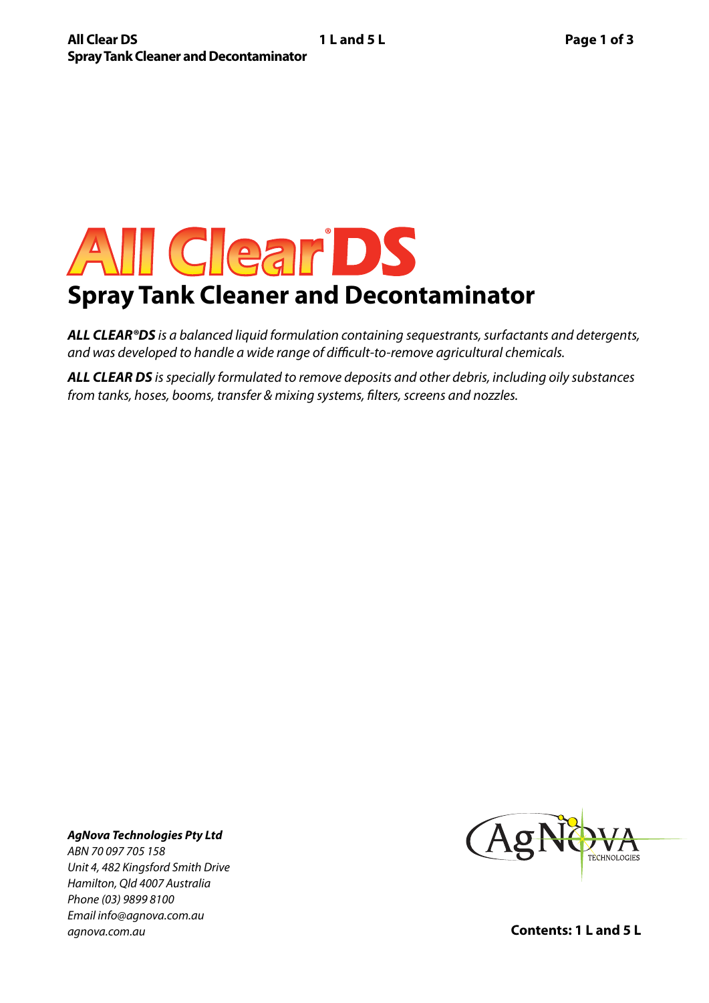# All Clear DS **Spray Tank Cleaner and Decontaminator**

*ALL CLEAR®DS is a balanced liquid formulation containing sequestrants, surfactants and detergents, and was developed to handle a wide range of difficult-to-remove agricultural chemicals.*

*ALL CLEAR DS is specially formulated to remove deposits and other debris, including oily substances from tanks, hoses, booms, transfer & mixing systems, filters, screens and nozzles.*

## *AgNova Technologies Pty Ltd*

*ABN 70 097 705 158 Unit 4, 482 Kingsford Smith Drive Hamilton, Qld 4007 Australia Phone (03) 9899 8100 Email info@agnova.com.au agnova.com.au*



**Contents: 1 L and 5 L**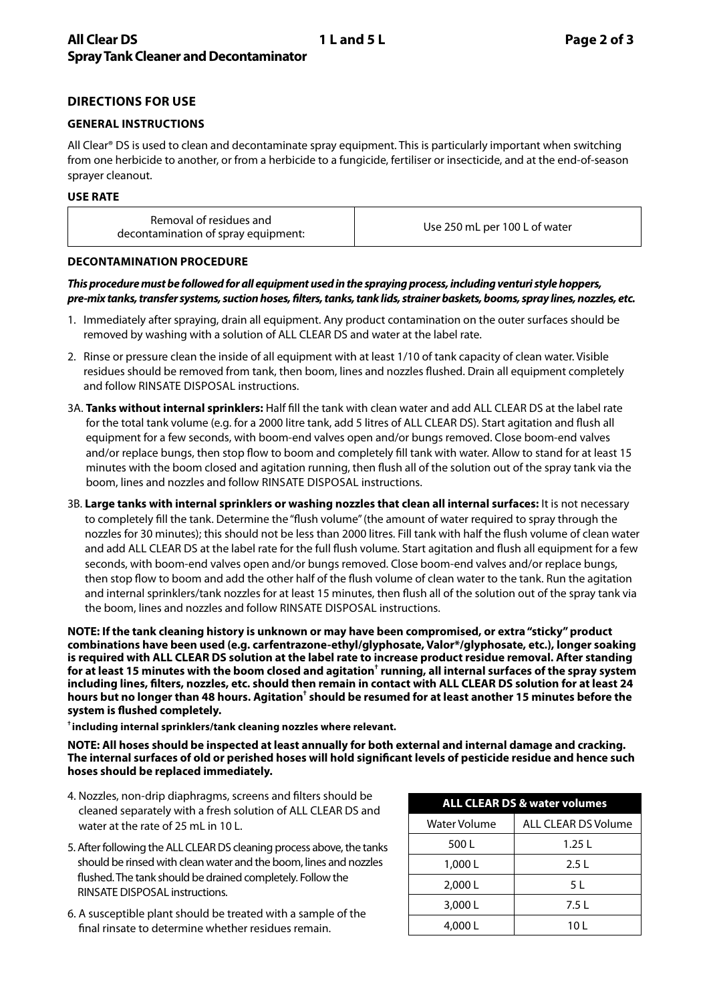### **DIRECTIONS FOR USE**

#### **GENERAL INSTRUCTIONS**

All Clear® DS is used to clean and decontaminate spray equipment. This is particularly important when switching from one herbicide to another, or from a herbicide to a fungicide, fertiliser or insecticide, and at the end-of-season sprayer cleanout.

#### **USE RATE**

#### **DECONTAMINATION PROCEDURE**

#### *This procedure must be followed for all equipment used in the spraying process, including venturi style hoppers, pre-mix tanks, transfer systems, suction hoses, filters, tanks, tank lids, strainer baskets, booms, spray lines, nozzles, etc.*

- 1. Immediately after spraying, drain all equipment. Any product contamination on the outer surfaces should be removed by washing with a solution of ALL CLEAR DS and water at the label rate.
- 2. Rinse or pressure clean the inside of all equipment with at least 1/10 of tank capacity of clean water. Visible residues should be removed from tank, then boom, lines and nozzles flushed. Drain all equipment completely and follow RINSATE DISPOSAL instructions.
- 3A. **Tanks without internal sprinklers:** Half fill the tank with clean water and add ALL CLEAR DS at the label rate for the total tank volume (e.g. for a 2000 litre tank, add 5 litres of ALL CLEAR DS). Start agitation and flush all equipment for a few seconds, with boom-end valves open and/or bungs removed. Close boom-end valves and/or replace bungs, then stop flow to boom and completely fill tank with water. Allow to stand for at least 15 minutes with the boom closed and agitation running, then flush all of the solution out of the spray tank via the boom, lines and nozzles and follow RINSATE DISPOSAL instructions.
- 3B. **Large tanks with internal sprinklers or washing nozzles that clean all internal surfaces:** It is not necessary to completely fill the tank. Determine the "flush volume" (the amount of water required to spray through the nozzles for 30 minutes); this should not be less than 2000 litres. Fill tank with half the flush volume of clean water and add ALL CLEAR DS at the label rate for the full flush volume. Start agitation and flush all equipment for a few seconds, with boom-end valves open and/or bungs removed. Close boom-end valves and/or replace bungs, then stop flow to boom and add the other half of the flush volume of clean water to the tank. Run the agitation and internal sprinklers/tank nozzles for at least 15 minutes, then flush all of the solution out of the spray tank via the boom, lines and nozzles and follow RINSATE DISPOSAL instructions.

**NOTE: If the tank cleaning history is unknown or may have been compromised, or extra "sticky" product combinations have been used (e.g. carfentrazone-ethyl/glyphosate, Valor\*/glyphosate, etc.), longer soaking is required with ALL CLEAR DS solution at the label rate to increase product residue removal. After standing for at least 15 minutes with the boom closed and agitation† running, all internal surfaces of the spray system including lines, filters, nozzles, etc. should then remain in contact with ALL CLEAR DS solution for at least 24**  hours but no longer than 48 hours. Agitation<sup>†</sup> should be resumed for at least another 15 minutes before the **system is flushed completely.**

**† including internal sprinklers/tank cleaning nozzles where relevant.**

**NOTE: All hoses should be inspected at least annually for both external and internal damage and cracking. The internal surfaces of old or perished hoses will hold significant levels of pesticide residue and hence such hoses should be replaced immediately.**

- 4. Nozzles, non-drip diaphragms, screens and filters should be cleaned separately with a fresh solution of ALL CLEAR DS and water at the rate of 25 mL in 10 L.
- 5. After following the ALL CLEAR DS cleaning process above, the tanks should be rinsed with clean water and the boom, lines and nozzles flushed. The tank should be drained completely. Follow the RINSATE DISPOSAL instructions.
- 6. A susceptible plant should be treated with a sample of the final rinsate to determine whether residues remain.

| <b>ALL CLEAR DS &amp; water volumes</b> |                            |
|-----------------------------------------|----------------------------|
| Water Volume                            | <b>ALL CLEAR DS Volume</b> |
| 500 L                                   | 1.25L                      |
| 1,000 L                                 | 2.5L                       |
| 2,000 L                                 | 5 L                        |
| 3,000L                                  | 7.5 L                      |
| 4,000 L                                 | 10 L                       |